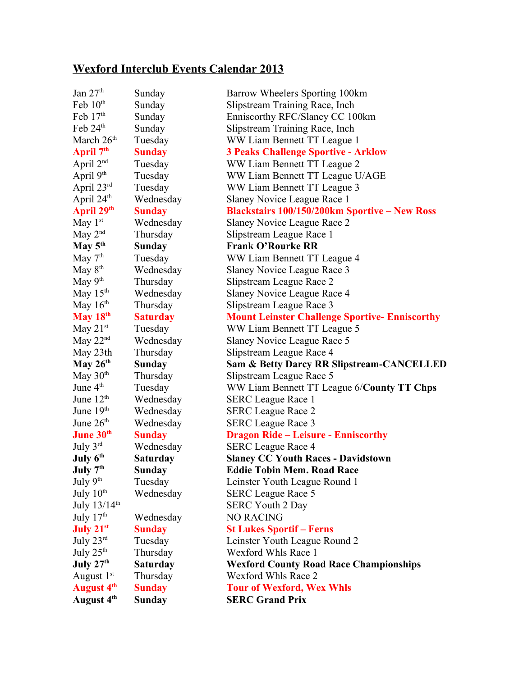## **Wexford Interclub Events Calendar 2013**

| Jan $27th$               | Sunday          | Barrow Wheelers Sporting 100km                       |
|--------------------------|-----------------|------------------------------------------------------|
| Feb $10^{\text{th}}$     | Sunday          | Slipstream Training Race, Inch                       |
| Feb $17th$               | Sunday          | Enniscorthy RFC/Slaney CC 100km                      |
| Feb 24 <sup>th</sup>     | Sunday          | Slipstream Training Race, Inch                       |
| March $26th$             | Tuesday         | WW Liam Bennett TT League 1                          |
| April 7 <sup>th</sup>    | <b>Sunday</b>   | <b>3 Peaks Challenge Sportive - Arklow</b>           |
| April $2^{nd}$           | Tuesday         | WW Liam Bennett TT League 2                          |
| April 9 <sup>th</sup>    | Tuesday         | WW Liam Bennett TT League U/AGE                      |
| April 23rd               | Tuesday         | WW Liam Bennett TT League 3                          |
| April 24 <sup>th</sup>   | Wednesday       | Slaney Novice League Race 1                          |
| April 29 <sup>th</sup>   | <b>Sunday</b>   | <b>Blackstairs 100/150/200km Sportive - New Ross</b> |
| May $1st$                | Wednesday       | Slaney Novice League Race 2                          |
| May $2^{nd}$             | Thursday        | Slipstream League Race 1                             |
| May $5^{\text{th}}$      | <b>Sunday</b>   | <b>Frank O'Rourke RR</b>                             |
| May $7th$                | Tuesday         | WW Liam Bennett TT League 4                          |
| May $8^{\text{th}}$      | Wednesday       | Slaney Novice League Race 3                          |
| May $9th$                | Thursday        | Slipstream League Race 2                             |
| May $15^{\text{th}}$     | Wednesday       | Slaney Novice League Race 4                          |
| May $16th$               | Thursday        | Slipstream League Race 3                             |
| May 18 <sup>th</sup>     | <b>Saturday</b> | <b>Mount Leinster Challenge Sportive-Enniscorthy</b> |
| May 21 $\rm ^{st}$       | Tuesday         | WW Liam Bennett TT League 5                          |
| May 22 $\rm{^{nd}}$      | Wednesday       | Slaney Novice League Race 5                          |
| May 23th                 | Thursday        | Slipstream League Race 4                             |
| May $26^{th}$            | Sunday          | <b>Sam &amp; Betty Darcy RR Slipstream-CANCELLED</b> |
| May $30th$               | Thursday        | Slipstream League Race 5                             |
| June 4 <sup>th</sup>     | Tuesday         | WW Liam Bennett TT League 6/County TT Chps           |
| June $12th$              | Wednesday       | <b>SERC League Race 1</b>                            |
| June 19 <sup>th</sup>    | Wednesday       | <b>SERC</b> League Race 2                            |
| June $26th$              | Wednesday       | <b>SERC League Race 3</b>                            |
| June 30 <sup>th</sup>    | <b>Sunday</b>   | <b>Dragon Ride – Leisure - Enniscorthy</b>           |
| July $3^{rd}$            | Wednesday       | <b>SERC</b> League Race 4                            |
| July 6 <sup>th</sup>     | <b>Saturday</b> | <b>Slaney CC Youth Races - Davidstown</b>            |
| July 7 <sup>th</sup>     | <b>Sunday</b>   | <b>Eddie Tobin Mem. Road Race</b>                    |
| July 9 <sup>th</sup>     | Tuesday         | Leinster Youth League Round 1                        |
| July $10th$              | Wednesday       | <b>SERC League Race 5</b>                            |
| July $13/14^{\text{th}}$ |                 | <b>SERC Youth 2 Day</b>                              |
| July $17th$              | Wednesday       | <b>NO RACING</b>                                     |
| July $21^{st}$           | <b>Sunday</b>   | <b>St Lukes Sportif - Ferns</b>                      |
| July 23rd                | Tuesday         | Leinster Youth League Round 2                        |
| July $25th$              | Thursday        | Wexford Whls Race 1                                  |
| July $27th$              | <b>Saturday</b> | <b>Wexford County Road Race Championships</b>        |
| August $1st$             | Thursday        | Wexford Whls Race 2                                  |
| August 4 <sup>th</sup>   | <b>Sunday</b>   | <b>Tour of Wexford, Wex Whls</b>                     |
| August 4 <sup>th</sup>   | <b>Sunday</b>   | <b>SERC Grand Prix</b>                               |
|                          |                 |                                                      |